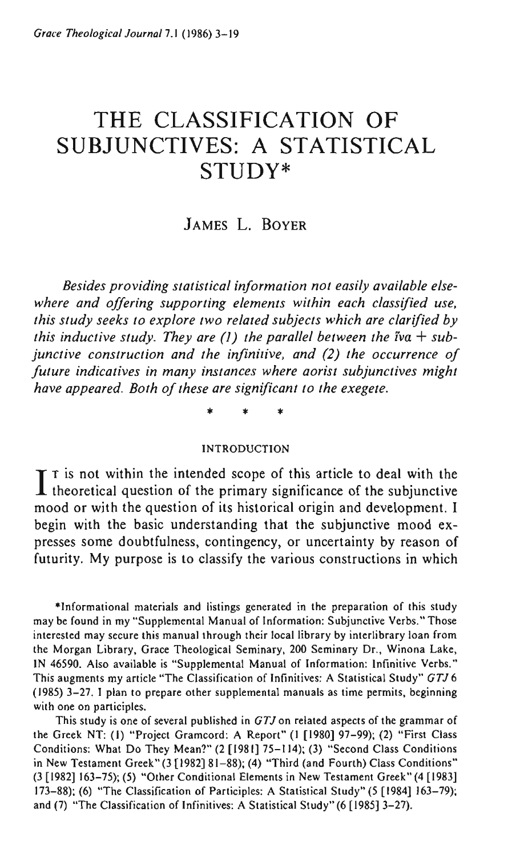# **THE CLASSIFICATION OF SUBJUNCTIVES: A STATISTICAL STUDY\***

# JAMES L. BOYER

*Besides providing statistical information not easily available elsewhere and offering supporting elements within each classified use, this study seeks to explore two related subjects which are clarified by this inductive study. They are (1) the parallel between the*  $\ddot{i}v\dot{a} + \dot{s}u\dot{b}$ *junctive construction and the infinitive, and* (2) *the occurrence of future indicatives in many instances where aorist subjunctives might have appeared. Both of these are significant to the exegete.* 

\* \* \*

#### INTRODUCTION

 $\int$   $\Gamma$  is not within the intended scope of this article to deal with the theoretical question of the primary significance of the subjunctive mood or with the question of its historical origin and development. I begin with the basic understanding that the subjunctive mood expresses some doubtfulness, contingency, or uncertainty by reason of futurity. My purpose is to classify the various constructions in which

'Informational materials and listings generated in the preparation of this study may be found in my "Supplemental Manual of Information: Subjunctive Verbs." Those interested may secure this manual through their local library by interlibrary loan from the Morgan Library, Grace Theological Seminary, 200 Seminary Dr., Winona Lake, IN 46590. Also available is "Supplemental Manual of Information: Infinitive Verbs." This augments my article "The Classification of Infinitives: A Statistical Study" *GTJ 6*  (1985) 3-27. I plan to prepare other supplemental manuals as time permits, beginning **with one on participles.** 

This study is one of several published in *GTJ* on related aspects of the grammar of the Greek NT: (1) "Project Gramcord: A Report" (I [1980] 97-99); (2) "First Class Conditions: What Do They Mean?" (2 [1981] 75-114); (3) "Second Class Conditions in New Testament Greek" (3 [1982] 81-88); (4) "Third (and Fourth) Class Conditions" (3 [1982]163-75); (5) "Other Conditional Elements in New Testament Greek" (4 [1983] 173-88); (6) "The Classification of Participles: A Statistical Study" (5 [1984] 163-79); and (7) "The Classification of Infinitives: A Statistical Study" (6 [1985] 3-27).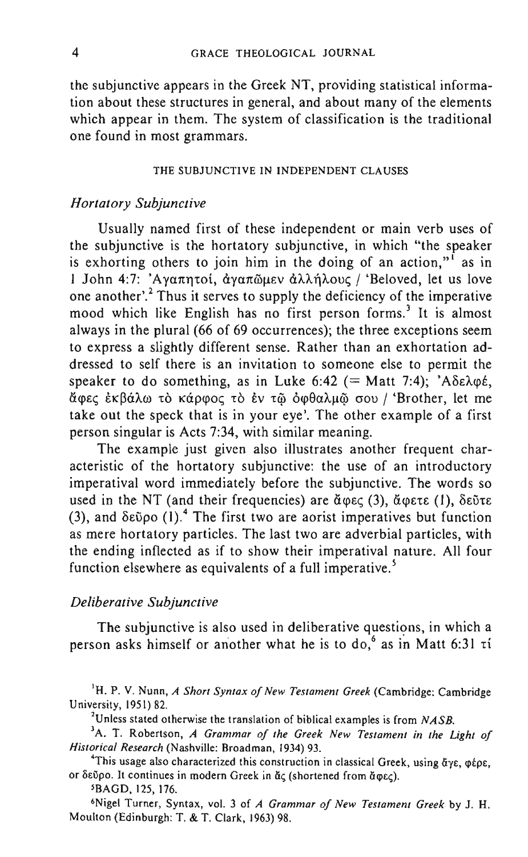the subjunctive appears in the Greek NT, providing statistical information about these structures in general, and about many of the elements which appear in them. The system of classification is the traditional one found in most grammars.

### THE SUBJUNCTIVE IN INDEPENDENT CLAUSES

### *Hortatory Subjunctive*

Usually named first of these independent or main verb uses of the subjunctive is the hortatory subjunctive, in which "the speaker is exhorting others to join him in the doing of an action."<sup>I</sup> as in I John 4:7: 'Αγαπητοί, άγαπῶμεν άλλήλους / 'Beloved, let us love one another<sup>2</sup>. Thus it serves to supply the deficiency of the imperative mood which like English has no first person forms.<sup>3</sup> It is almost always in the plural (66 of 69 occurrences); the three exceptions seem to express a slightly different sense. Rather than an exhortation addressed to self there is an invitation to someone else to permit the speaker to do something, as in Luke 6:42 (= Matt 7:4), ' $A\delta\epsilon\lambda\varphi\epsilon$ , άφες έκβάλω το κάρφος το έν τω οφθαλμω σου / 'Brother, let me take out the speck that is in your eye'. The other example of a first person singular is Acts 7:34, with similar meaning.

The example just given also illustrates another frequent characteristic of the hortatory subjunctive: the use of an introductory imperatival word immediately before the subjunctive. The words so used in the NT (and their frequencies) are  $\check{a}$   $\phi \varepsilon \in (3)$ ,  $\check{a}$   $\phi \varepsilon \varepsilon$  (1),  $\delta \varepsilon \check{v} \tau \varepsilon$ (3), and  $\delta \epsilon \tilde{\nu}$ po (1).<sup>4</sup> The first two are aorist imperatives but function as mere hortatory particles. The last two are adverbial particles, with the ending inflected as if to show their imperatival nature. All four function elsewhere as equivalents of a full imperative.<sup>5</sup>

#### *Deliberative Subjunctive*

The subjunctive is also used in deliberative questions, in which a person asks himself or another what he is to do,<sup>6</sup> as in Matt 6:31  $\tau$ i

<sup>I</sup>H. P. V. Nunn, *A Short Syntax of New Testament Greek* (Cambridge: Cambridge University, 1951) 82.

<sup>2</sup>Unless stated otherwise the translation of biblical examples is from *NASB*.

<sup>3</sup>A. T. Robertson, *A Grammar of the Greek New Testament in the Light of Historical Research* (Nashville: Broadman, 1934) 93.

<sup>4</sup>This usage also characterized this construction in classical Greek, using **άγε**, φέρε, or δεύρο. It continues in modern Greek in άς (shortened from άφες).

'BAGD, 125, 176.

'Nigel Turner, Syntax, vol. 3 of *A Grammar of New Testament Greek* by J. H. Moulton (Edinburgh: T. & T. Clark, 1963) 98.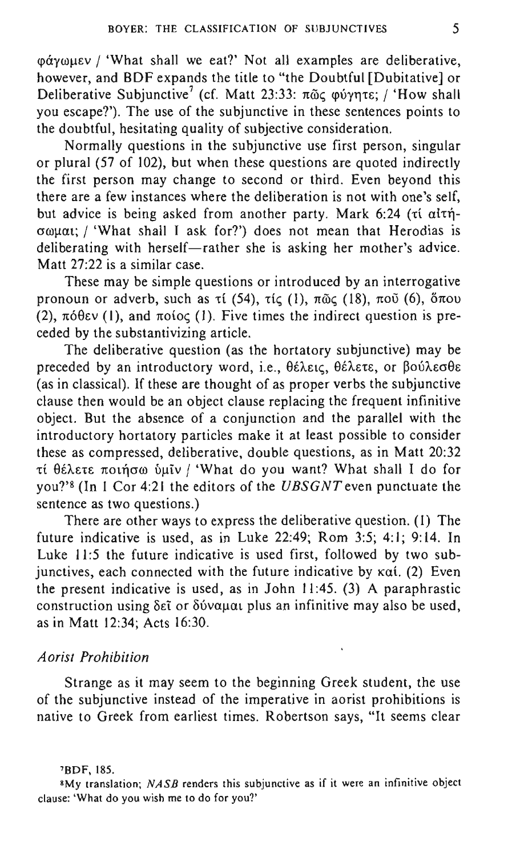$\phi$ *ay* $\omega$ μεν / 'What shall we eat?' Not all examples are deliberative, however, and BDF expands the title to "the Doubtful [Dubitative] or Deliberative Subjunctive<sup>7</sup> (cf. Matt 23:33:  $\pi\tilde{\omega}\zeta$  gúynts; / 'How shall you escape?'). The use of the subjunctive in these sentences points to the doubtful, hesitating quality of subjective consideration.

Normally questions in the subjunctive use first person, singular or plural (57 of 102), but when these questions are quoted indirectly the first person may change to second or third. Even beyond this there are a few instances where the deliberation is not with one's self, but advice is being asked from another party. Mark 6:24 (ti alth- $\sigma\omega\mu\alpha$ ; / 'What shall I ask for?') does not mean that Herodias is deliberating with herself-rather she is asking her mother's advice. Matt 27:22 is a similar case.

These may be simple questions or introduced by an interrogative pronoun or adverb, such as  $\tau$ i (54),  $\tau$ ic (1),  $\pi\tilde{\omega}$  (18),  $\pi$ o $\tilde{\upsilon}$  (6),  $\delta\pi\omega$ (2),  $\pi\acute{o}$  $\theta\epsilon\vee$  (1), and  $\pi\acute{o}$  (0). Five times the indirect question is preceded by the substantivizing article.

The deliberative question (as the hortatory subjunctive) may be preceded by an introductory word, i.e., θέλεις, θέλετε, or βούλεσθε (as in classical). If these are thought of as proper verbs the subjunctive clause then would be an object clause replacing the frequent infinitive object. But the absence of a conjunction and the parallel with the introductory hortatory particles make it at least possible to consider these as compressed, deliberative, double questions, as in Matt 20:32 t1 *8tt.€t€* noti)ofiJ UlltV I 'What do you want? What shall I do for you?'<sup>8</sup> (In 1 Cor 4:21 the editors of the *UBSGNT* even punctuate the sentence as two questions.)

There are other ways to express the deliberative question. (I) The future indicative is used, as in Luke 22:49; Rom 3:5; 4:1; 9:14. In Luke 11:5 the future indicative is used first, followed by two subjunctives, each connected with the future indicative by  $\kappa \alpha i$ . (2) Even the present indicative is used, as in John 11:45. (3) A paraphrastic construction using  $\delta \varepsilon \tilde{\iota}$  or  $\delta \dot{\nu}$  and plus an infinitive may also be used, as in Matt 12:34; Acts 16:30.

## *Aorist Prohibition*

Strange as it may seem to the beginning Greek student, the use of the subjunctive instead of the imperative in aorist prohibitions is native to Greek from earliest times. Robertson says, "It seems clear

<sup>&#</sup>x27;BDF,185.

**<sup>8</sup>My translation;** *NASB* **renders this subjunctive as if it were an infinitive object**  clause: 'What do you wish me to do for you?'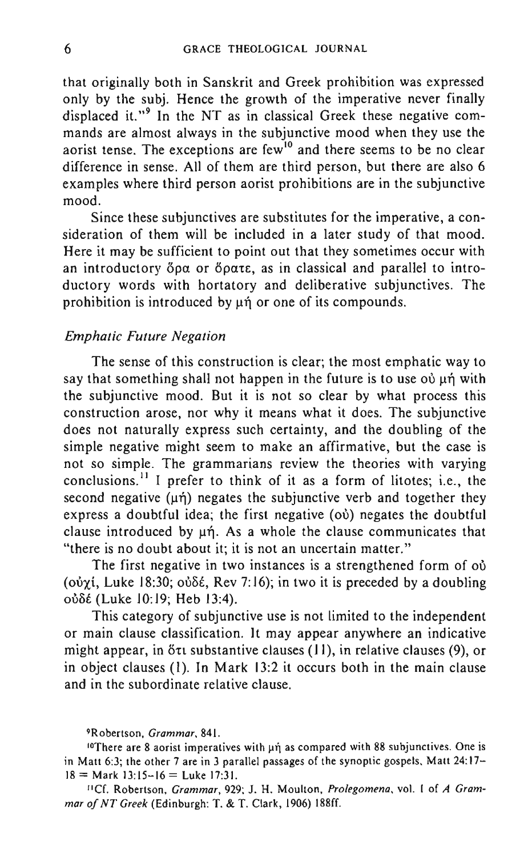that originally both in Sanskrit and Greek prohibition was expressed only by the subj. Hence the growth of the imperative never finally displaced it."<sup>9</sup> In the NT as in classical Greek these negative commands are almost always in the subjunctive mood when they use the aorist tense. The exceptions are  $few^{10}$  and there seems to be no clear difference in sense. All of them are third person, but there are also 6 examples where third person aorist prohibitions are in the subjunctive mood.

Since these subjunctives are substitutes for the imperative, a consideration of them will be included in a later study of that mood. Here it may be sufficient to point out that they sometimes occur with an introductory  $\delta \rho \alpha$  or  $\delta \rho \alpha \tau \epsilon$ , as in classical and parallel to introductory words with hortatory and deliberative subjunctives. The prohibition is introduced by  $\mu$ n or one of its compounds.

## *Emphatic Future Negation*

The sense of this construction is clear; the most emphatic way to say that something shall not happen in the future is to use  $\delta \psi$  un with the subjunctive mood. But it is not so clear by what process this construction arose, nor why it means what it does. The subjunctive does not naturally express such certainty, and the doubling of the simple negative might seem to make an affirmative, but the case is not so simple. The grammarians review the theories with varying conclusions.<sup>11</sup> I prefer to think of it as a form of litotes; i.e., the second negative  $(\mu \eta)$  negates the subjunctive verb and together they express a doubtful idea; the first negative  $(o\dot{v})$  negates the doubtful clause introduced by  $\mu\eta$ . As a whole the clause communicates that "there is no doubt about it; it is not an uncertain matter."

The first negative in two instances is a strengthened form of ou ( $o\dot{v}$ xi, Luke 18:30;  $o\dot{v}\delta\dot{\epsilon}$ , Rev 7:16); in two it is preceded by a doubling ούδέ (Luke 10:19; Heb 13:4).

This category of subjunctive use is not limited to the independent or main clause classification. It may appear anywhere an indicative might appear, in  $\delta\tau$  substantive clauses (11), in relative clauses (9), or in object clauses (I). In Mark 13:2 it occurs both in the main clause and in the subordinate relative clause.

IICf. Robertson, *Grammar,* 929; J. H. Moulton, *Prolegomena,* vol. I of *A Grammar of NT Greek* (Edinburgh: T. & T. Clark, 1906) 188ff.

**<sup>9</sup>Robertson.** *Grammar,* 841.

<sup>10</sup> There are 8 aorist imperatives with  $\mu$ n as compared with 88 subjunctives. One is in Matt 6:3; the other 7 are in 3 parallel passages of the synoptic gospels, Matt  $24:17 18 =$  Mark 13:15-16 = Luke 17:31.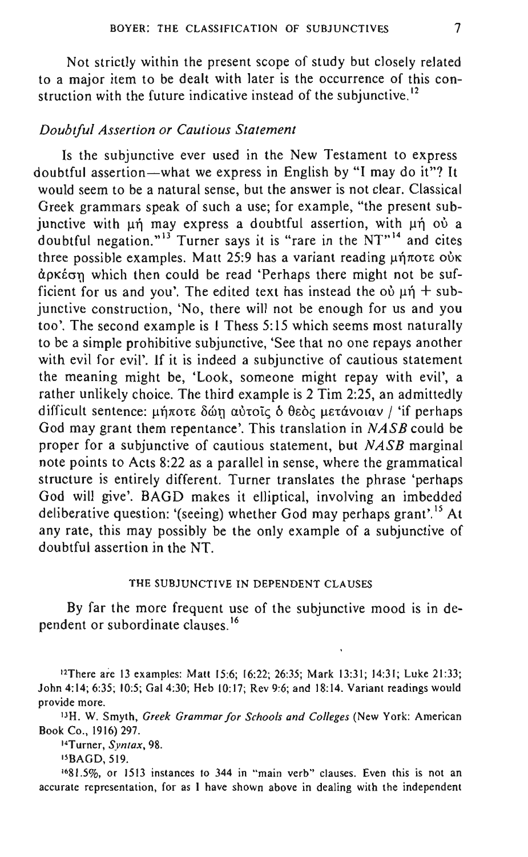Not strictly within the present scope of study but closely related to a major item to be dealt with later is the occurrence of this construction with the future indicative instead of the subjunctive.<sup>12</sup>

## *Doubtful Assertion or Cautious Statement*

Is the subjunctive ever used in the New Testament to express doubtful assertion—what we express in English by "I may do it"? It would seem to be a natural sense, but the answer is not clear. Classical Greek grammars speak of such a use; for example, "the present subjunctive with un may express a doubtful assertion, with un ou a doubtful negation."<sup>13</sup> Turner says it is "rare in the  $NT<sup>14</sup>$  and cites three possible examples. Matt 25:9 has a variant reading  $\mu$ nt ote ouk άρκέση which then could be read 'Perhaps there might not be sufficient for us and you'. The edited text has instead the  $o\dot{v}$  und  $+$  subjunctive construction, 'No, there will not be enough for us and you too'. The second example is 1 Thess 5: 15 which seems most naturally to be a simple prohibitive subjunctive, 'See that no one repays another with evil for evil'. If it is indeed a subjunctive of cautious statement the meaning might be, 'Look, someone might repay with evil', a rather unlikely choice. The third example is 2 Tim 2:25, an admittedly difficult sentence: μήποτε δώη αὐτοῖς δ θεὸς μετάνοιαν / 'if perhaps God may grant them repentance'. This translation in *NASB* could be proper for a SUbjunctive of cautious statement, but *NASB* marginal note points to Acts 8:22 as a parallel in sense, where the grammatical structure is entirely different. Turner translates the phrase 'perhaps God will give'. BAGD makes it elliptical, involving an imbedded deliberative question: '(seeing) whether God may perhaps grant'.<sup>15</sup> At any rate, this may possibly be the only example of a subjunctive of doubtful assertion in the NT.

#### THE SUBJUNCTIVE IN DEPENDENT CLAUSES

By far the more frequent use of the subjunctive mood is in dependent or subordinate clauses. <sup>16</sup>

<sup>12</sup>There are 13 examples: Matt 15:6; 16:22; 26:35; Mark 13:31; 14:31; Luke 21:33; John 4:14; 6:35; 10:5; Gal 4:30; Heb 10:17; Rev 9:6; and 18:14. Variant readings would **provide morc.** 

"H. W. Smyth, *Greek Grammar for Schools and Col/eges* (New York: American Book Co., 1916) 297.

**14Turner,** *Syntax, 98.* 

"BAGD,519.

**<sup>16</sup>81.5%. or 1513 instances to 344 in "main verb" clauses. Even this is not an accurate representation, for as I have shown above in dealing with the independent**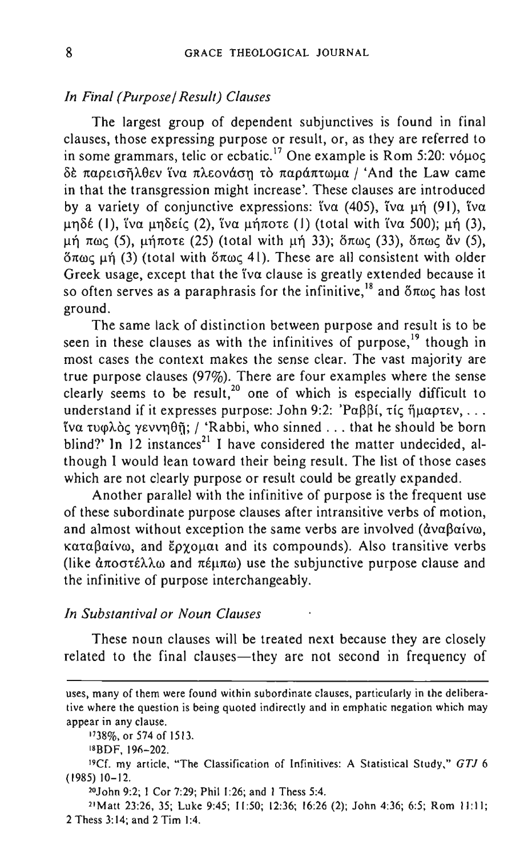# *In Final (Purpose/ Result) Clauses*

The largest group of dependent subjunctives is found in final clauses, those expressing purpose or result, or, as they are referred to in some grammars, telic or ecbatic.<sup>17</sup> One example is Rom 5:20:  $v$ *ó* $\mu$ o $\varsigma$ δέ παρεισήλθεν ΐνα πλεονάση τὸ παράπτωμα / 'And the Law came in that the transgression might increase'. These clauses are introduced by a variety of conjunctive expressions: iva (405), iva  $\mu$ n (91), iva μηδέ (Ι), ΐνα μηδείς (2), ΐνα μήποτε (Ι) (total with ΐνα 500); μή (3), μή πως (5), μήποτε (25) (total with μή 33); δπως (33), δπως ἄν (5),  $\delta \pi \omega \varsigma$  µή (3) (total with  $\delta \pi \omega \varsigma$  41). These are all consistent with older Greek usage, except that the iva clause is greatly extended because it so often serves as a paraphrasis for the infinitive,<sup>18</sup> and  $\delta \pi \omega \varsigma$  has lost ground.

The same lack of distinction between purpose and result is to be seen in these clauses as with the infinitives of purpose,<sup>19</sup> though in most cases the context makes the sense clear. The vast majority are true purpose clauses (97%). There are four examples where the sense clearly seems to be result,<sup>20</sup> one of which is especially difficult to understand if it expresses purpose: John 9:2: 'Pa $\beta\beta$ i, τίς ήμαρτεν, ... ίνα τυφλός γεννηθῆ; / 'Rabbi, who sinned ... that he should be born blind?' In  $12$  instances<sup>21</sup> I have considered the matter undecided, although I would lean toward their being result. The list of those cases which are not clearly purpose or result could be greatly expanded.

Another parallel with the infinitive of purpose is the frequent use of these subordinate purpose clauses after intransitive verbs of motion, and almost without exception the same verbs are involved ( $\hat{\alpha}$ va $\beta$ aiv $\omega$ ,  $\kappa \alpha \tau \alpha \beta \alpha$ iv $\omega$ , and  $\epsilon \rho \gamma \partial \mu \alpha$  and its compounds). Also transitive verbs (like  $\hat{\alpha}$ ποστέλλω and πέμπω) use the subjunctive purpose clause and the infinitive of purpose interchangeably.

# *In Substantival or Noun Clauses*

These noun clauses will be treated next because they are closely related to the final clauses—they are not second in frequency of

**uses, many of them were found within subordinate clauses, particularly in the delibera**tive where the question is being quoted indirectly and in emphatic negation which may **appear in any clause.** 

<sup>1738%,</sup> or 574 of 1513.

<sup>&</sup>lt;sup>18</sup>BDF, 196-202.

<sup>&</sup>lt;sup>19</sup>Cf. my article, "The Classification of Infinitives: A Statistical Study," GTJ 6 (1985) 10-12.

<sup>2</sup>OJohn 9:2; I Cor 7:29; Phil I :26; and I Thess 5:4.

<sup>21</sup>Matt 23:26, 35; Luke 9:45; 11:50; 12:36; 16:26 (2); John 4:36; 6:5; Rom Il:lI; 2 Thess 3:14; and 2 Tim 1:4.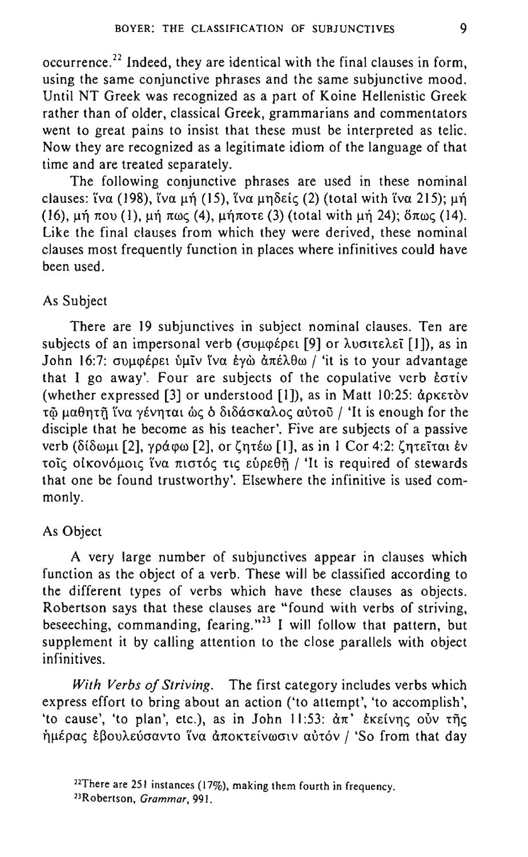occurrence.<sup>22</sup> Indeed, they are identical with the final clauses in form, using the same conjunctive phrases and the same subjunctive mood. Until NT Greek was recognized as a part of Koine Hellenistic Greek rather than of older, classical Greek, grammarians and commentators went to great pains to insist that these must be interpreted as telic. Now they are recognized as a legitimate idiom of the language of that time and are treated separately.

The following conjunctive phrases are used in these nominal clauses:  $\tilde{v}$ va (198),  $\tilde{v}$ va  $\mu$ ή (15),  $\tilde{v}$ va  $\mu$ ηδείς (2) (total with  $\tilde{v}$ va 215);  $\mu$ ή (16),  $\mu$ ή που (1),  $\mu$ ή πως (4),  $\mu$ ήποτε (3) (total with  $\mu$ ή 24); δπως (14). Like the final clauses from which they were derived, these nominal clauses most frequently function in places where infinitives could have been used.

## As Subject

There are 19 subjunctives in subject nominal clauses. Ten are subjects of an impersonal verb (συμφέρει [9] or λυσιτελεῖ [1]), as in John 16:7: συμφέρει ύμῖν ἵνα ἐγὼ ἀπέλθω / 'it is to your advantage that I go away'. Four are subjects of the copulative verb  $\epsilon$ otiv (whether expressed [3] or understood [1]), as in Matt 10:25:  $\dot{\alpha}$   $\rho$ KETOV τώ μαθητή ΐνα γένηται ως ο διδάσκαλος αυτού / 'It is enough for the disciple that he become as his teacher'. Five are subjects of a passive verb (δίδωμι [2], γράφω [2], or ζητέω [1], as in 1 Cor 4:2: ζητεΐται έν τοΐς οίκονόμοις ΐνα πιστός τις εύρεθη / 'It is required of stewards that one be found trustworthy'. Elsewhere the infinitive is used commonly.

## As Object

A very large number of subjunctives appear in clauses which function as the object of a verb. These will be classified according to the different types of verbs which have these clauses as objects. Robertson says that these clauses are "found with verbs of striving, beseeching, commanding, fearing."<sup>23</sup> I will follow that pattern, but supplement it by calling attention to the close parallels with object infinitives.

*With Verbs of Striving.* The first category includes verbs which express effort to bring about an action ('to attempt', 'to accomplish', 'to cause', 'to plan', etc.), as in John 11:53:  $\alpha \pi$ ' εκείνης ούν της ήμέρας εβουλεύσαντο ΐνα αποκτείνωσιν αὐτόν / 'So from that day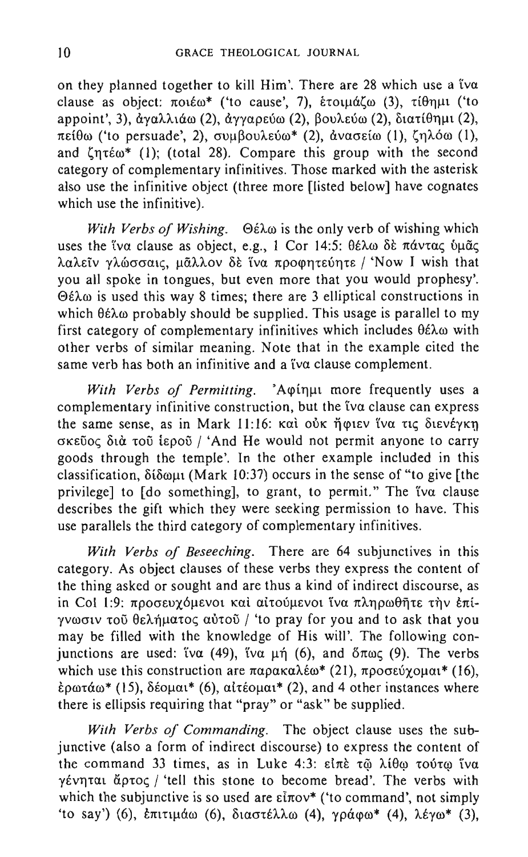on they planned together to kill Him'. There are 28 which use a tva clause as object:  $\pi$ oté $\omega^*$  ('to cause', 7), ετοιμάζω (3), τίθημι ('to appoint', 3), άναλλιάω (2), άνναρεύω (2), βουλεύω (2), διατίθημι (2),  $π$ είθω ('to persuade', 2), συμβουλεύω<sup>\*</sup> (2), ανασείω (1), ζηλόω (1), and  $\zeta \eta \tau \epsilon \omega^*$  (1); (total 28). Compare this group with the second category of complementary infinitives. Those marked with the asterisk also use the infinitive object (three more [listed below] have cognates which use the infinitive).

*With Verbs of Wishing.* Θέλω is the only verb of wishing which uses the ΐνα clause as object, e.g., 1 Cor 14:5: θέλω δε πάντας υμᾶς λαλεΐν γλώσσαις, μάλλον δε ΐνα προφητεύητε / 'Now I wish that you all spoke in tongues, but even more that you would prophesy'.  $\Theta$ έλω is used this way 8 times; there are 3 elliptical constructions in which  $\theta \in \mathbb{R}$  probably should be supplied. This usage is parallel to my first category of complementary infinitives which includes  $\theta \hat{\epsilon} \lambda \omega$  with other verbs of similar meaning. Note that in the example cited the same verb has both an infinitive and a tva clause complement.

*With Verbs of Permitting.* 'Apinut more frequently uses a complementary infinitive construction, but the tva clause can express the same sense, as in Mark 11:16: καὶ οὐκ ἥφιεν ἵνα τις διενέγκη σκεῦος διὰ τοῦ ἱεροῦ / 'And He would not permit anyone to carry goods through the temple'. In the other example included in this classification,  $\delta \delta \omega \mu$  (Mark 10:37) occurs in the sense of "to give [the privilege] to [do something], to grant, to permit." The tva clause describes the gift which they were seeking permission to have. This use parallels the third category of complementary infinitives.

With Verbs of Beseeching. There are 64 subjunctives in this category. As object clauses of these verbs they express the content of the thing asked or sought and are thus a kind of indirect discourse, as in Col 1:9: προσευγόμενοι και αιτούμενοι ίνα πληρωθήτε την επίγνωσιν τοῦ θελήματος αὐτοῦ / 'to pray for you and to ask that you may be filled with the knowledge of His will'. The following conjunctions are used:  $iv\alpha$  (49),  $iv\alpha \mu\eta$  (6), and  $\delta\pi\omega\zeta$  (9). The verbs which use this construction are παρακαλέω\* (21), προσεύχομαι\* (16),  $\frac{\epsilon}{\rho}$ ρωτάω\* (15), δέομαι\* (6), αιτέομαι\* (2), and 4 other instances where there is ellipsis requiring that "pray" or "ask" be supplied.

*With Verbs of Commanding.* The object clause uses the subjunctive (also a form of indirect discourse) to express the content of the command 33 times, as in Luke 4:3:  $\varepsilon \in \pi \in \pi$   $\lambda$ i $\theta$   $\omega$  to  $\theta$  iva γένηται άρτος / 'tell this stone to become bread'. The verbs with which the subjunctive is so used are *ε*ίπον\* ('to command', not simply 'to say') (6), επιτιμάω (6), διαστέλλω (4), γράφω\* (4), λέγω\* (3),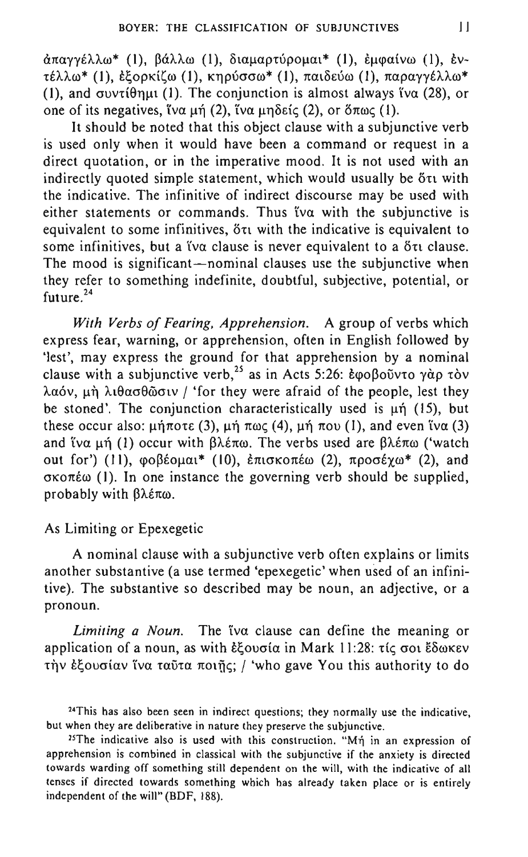απαγγέλλω\* (1), βάλλω (1), διαμαρτύρομαι\* (1), εμφαίνω (1), εν- $\tau \in \lambda \lambda \omega^*$  (1), εξορκίζω (1), κηρύσσω\* (1), παιδεύω (1), παραγγέλλω\* (1), and  $\sigma$ uvti $\theta$ n $\mu$ t (1). The conjunction is almost always Iva (28), or one of its negatives,  $\alpha \mu \eta$  (2),  $\alpha \mu \eta \delta \epsilon$  (2), or  $\delta \pi \omega \zeta$  (1).

It should be noted that this object clause with a subjunctive verb is used only when it would have been a command or request in a direct quotation, or in the imperative mood. It is not used with an indirectly quoted simple statement, which would usually be ort with the indicative. The infinitive of indirect discourse may be used with either statements or commands. Thus tva with the subjunctive is equivalent to some infinitives, öti with the indicative is equivalent to some infinitives, but a tv $\alpha$  clause is never equivalent to a  $\delta \tau$  clause. The mood is significant-nominal clauses use the subjunctive when they refer to something indefinite, doubtful, subjective, potential, or future.<sup>24</sup>

*With Verbs of Fearing, Apprehension.* A group of verbs which express fear, warning, or apprehension, often in English followed by 'lest', may express the ground for that apprehension by a nominal clause with a subjunctive verb,<sup>25</sup> as in Acts 5:26:  $\epsilon \varphi \circ \beta \circ \tilde{\nu}$ ντο γάρ τον λαόν, μη λιθασθώσιν / 'for they were afraid of the people, lest they be stoned'. The conjunction characteristically used is  $\mu$ n (15), but these occur also:  $\mu \eta \pi$ ote (3),  $\mu \eta \pi \omega \zeta$  (4),  $\mu \eta \pi \omega$  (I), and even  $\alpha$  (3) and  $\alpha$   $\mu$ n (1) occur with  $\beta \lambda \epsilon \pi \omega$ . The verbs used are  $\beta \lambda \epsilon \pi \omega$  ('watch out for') (11), φοβέομαι<sup>\*</sup> (10), επισκοπέω (2), προσέχω<sup>\*</sup> (2), and  $\sigma$ Ko $\pi$ έω (I). In one instance the governing verb should be supplied, probably with βλέπω.

## As Limiting or Epexegetic

A nominal clause with a subjunctive verb often explains or limits another substantive (a use termed 'epexegetic' when used of an infinitive). The substantive so described may be noun, an adjective, or a pronoun.

*Limiting a Noun.* The Iva clause can define the meaning or application of a noun, as with *E* Eouoia in Mark 11:28: τίς σοι Εδωκεν την εξουσίαν ίνα ταῦτα ποιῆς; / 'who gave You this authority to do

**<sup>24</sup>This has also been seen in indirect questions; they normally use the indicative,**  but when they are deliberative in nature they preserve the subjunctive.

<sup>&</sup>lt;sup>25</sup>The indicative also is used with this construction. "Mn in an expression of **apprehension is combined in classical with the subjunctive if the anxiety is directed towards warding off something still dependent on the will, with the indicative of all**  tenses if directed towards something which has already taken place or is entirely independent of the will" (BDF, 188).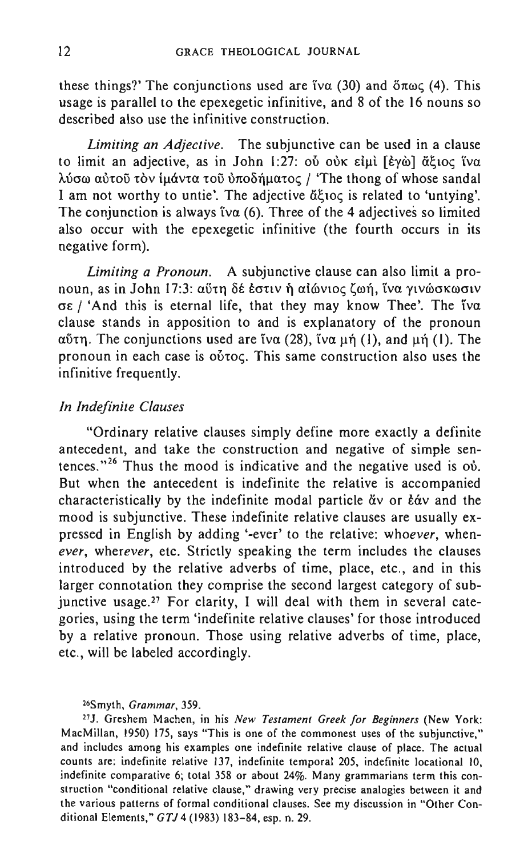these things?' The conjunctions used are  $\alpha$  (30) and  $\delta \pi \omega \zeta$  (4). This usage is parallel to the epexegetic infinitive, and 8 of the 16 nouns so described also use the infinitive construction.

*Limiting an Adjective.* The subjunctive can be used in a clause to limit an adjective, as in John 1:27: où oùx siuì [έγω] άξιος ΐνα λύσω αύτοῦ τὸν ἱμάντα τοῦ ὐποδήματος / 'The thong of whose sandal I am not worthy to untie'. The adjective  $\tilde{\alpha} \xi$ toc is related to 'untying'. The conjunction is always  $iva(6)$ . Three of the 4 adjectives so limited also occur with the epexegetic infinitive (the fourth occurs in its negative form).

*Limiting a Pronoun.* A sUbjunctive clause can also limit a pronoun, as in John 17:3: αΰτη δέ έστιν ή αίώνιος ζωή, ϊνα γινώσκωσιν  $\sigma \varepsilon$  / 'And this is eternal life, that they may know Thee'. The iva clause stands in apposition to and is explanatory of the pronoun αύτη. The conjunctions used are ίνα (28), ίνα μή (1), and μή (1). The pronoun in each case is  $o\breve{\theta}$  toc. This same construction also uses the infinitive frequently.

#### *In Indefinite Clauses*

"Ordinary relative clauses simply define more exactly a definite antecedent, and take the construction and negative of simple sentences."<sup>26</sup> Thus the mood is indicative and the negative used is ov. But when the antecedent is indefinite the relative is accompanied characteristically by the indefinite modal particle  $\alpha v$  or  $\epsilon \alpha v$  and the mood is subjunctive. These indefinite relative clauses are usually expressed in English by adding '-ever' to the relative: *whoever,* when*ever, wherever,* etc. Strictly speaking the term includes the clauses introduced by the relative adverbs of time, place, etc., and in this larger connotation they comprise the second largest category of subjunctive usage.<sup>27</sup> For clarity, I will deal with them in several categories, using the term 'indefinite relative clauses' for those introduced by a relative pronoun. Those using relative adverbs of time, place, etc., will be labeled accordingly.

#### <sup>26</sup>Smyth, *Grammar*, 359.

**27J. Greshem Machen, in his** *New Testament Greek for Beginners* **(New York:**  MacMillan, 1950) 175, says "This is one of the commonest uses of the subjunctive," **and includes among his examples one indefinite relative clause of place. The actual counts are: indefinite relative 137, indefinite temporal 205, indefinite loeational 10,**  indefinite comparative 6; total 358 or about 24%. Many grammarians term this con**struction "conditional relative clause," drawing very precise analogies between it and the various patterns of formal conditional clauses. See my discussion in "Other Con**ditional Elements," GTJ 4 (1983) 183-84, esp. n. 29.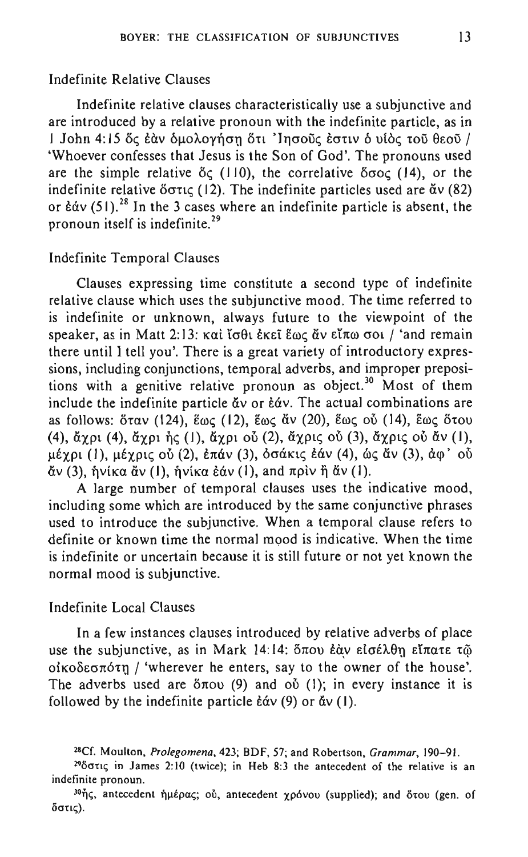## Indefinite Relative Clauses

Indefinite relative clauses characteristically use a subjunctive and are introduced by a relative pronoun with the indefinite particle, as in I John 4:15 δς έὰν δμολογήση ὅτι 'Inσοῦς Εστιν ο υίος τοῦ θεοῦ / 'Whoever confesses that Jesus is the Son of God'. The pronouns used are the simple relative  $\delta c$  (110), the correlative  $\delta \sigma o c$  (14), or the indefinite relative  $\delta \sigma \tau$  (12). The indefinite particles used are  $\alpha v$  (82) or  $\frac{\delta \alpha v}{\delta}$  (51).<sup>28</sup> In the 3 cases where an indefinite particle is absent, the pronoun itself is indefinite.29

#### Indefinite Temporal Clauses

Clauses expressing time constitute a second type of indefinite relative clause which uses the subjunctive mood. The time referred to is indefinite or unknown, always future to the viewpoint of the speaker, as in Matt 2:13: καὶ ἴσθι ἐκεῖ ἕως ἄν εἴπω σοι / 'and remain there until I tell you'. There is a great variety of introductory expressions, including conjunctions, temporal adverbs, and improper prepositions with a genitive relative pronoun as object.<sup>30</sup> Most of them include the indefinite particle  $\check{\alpha}v$  or  $\check{\epsilon}\check{\alpha}v$ . The actual combinations are as follows: όταν (124), έως (12), έως άν (20), έως ού (14), έως ότου (4), *άγρι (4), άγρι ής (1), άγρι ού (2), άγρις ού (3), άγρις ου άν (1),*  $\mu$ έγρι (1),  $\mu$ έγρις οὖ (2), επάν (3), οσάκις εάν (4), ώς ἄν (3), ἀφ' οὖ άν (3), ήνίκα ἄν (I), ήνίκα *ἐ*άν (I), and πρὶν ἢ ἄν (I).

A large number of temporal clauses uses the indicative mood, including some which are introduced by the same conjunctive phrases used to introduce the subjunctive. When a temporal clause refers to definite or known time the normal mood is indicative. When the time is indefinite or uncertain because it is still future or not yet known the normal mood is subjunctive.

### Indefinite Local Clauses

**In** a few instances clauses introduced by relative adverbs of place use the subjunctive, as in Mark 14:14: ὅπου ἐὰν εἰσέλθη εἴπατε τῷ  $o$ *i* $\kappa$  $o$  $\delta$ *ε* $\sigma$  $\pi$  $\delta$ *τ* $\eta$  / 'wherever he enters, say to the owner of the house'. The adverbs used are  $\delta \pi o \upsilon$  (9) and  $o \delta$  (1); in every instance it is followed by the indefinite particle  $\frac{\partial \phi}{\partial y}$  (9) or  $\frac{\partial \phi}{\partial y}$  (1).

<sup>&</sup>quot;Cf. Moulton, *Prolegomena,* 423; BDF, 57; and Robertson, *Grammar, 190-91.* 

<sup>&</sup>lt;sup>29</sup><sup>δ</sup>στις in James 2:10 (twice); in Heb 8:3 the antecedent of the relative is an **indefinite pronoun.** 

<sup>30</sup> $\eta$ ς, antecedent ήμέρας; οὖ, antecedent χρόνου (supplied); and öτου (gen. of δστις).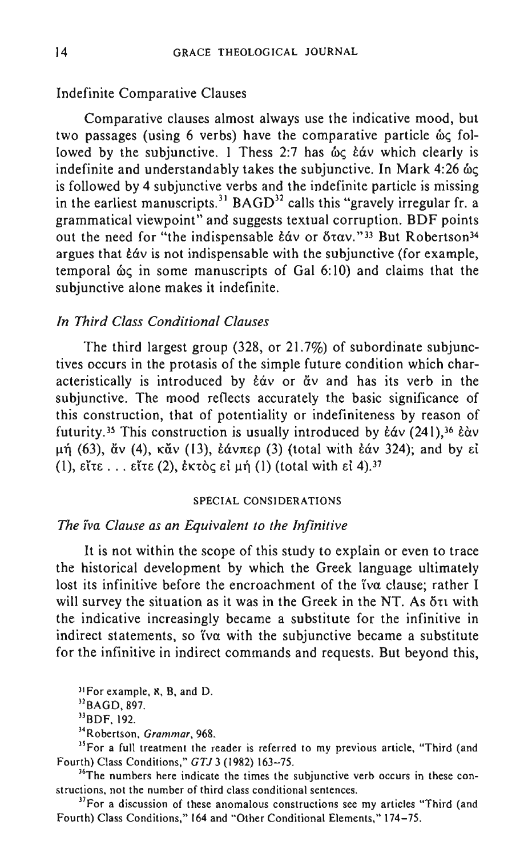#### Indefinite Comparative Clauses

Comparative clauses almost always use the indicative mood, but two passages (using 6 verbs) have the comparative particle  $\omega \zeta$  followed by the subjunctive. 1 Thess 2:7 has  $\omega_c$   $\epsilon \omega v$  which clearly is indefinite and understandably takes the subjunctive. In Mark  $4:26$   $\omega$ is followed by 4 subjunctive verbs and the indefinite particle is missing in the earliest manuscripts.<sup>31</sup> BAGD<sup>32</sup> calls this "gravely irregular fr. a grammatical viewpoint" and suggests textual corruption. BDF points out the need for "the indispensable  $\frac{2}{3}$  or  $\frac{6}{3}$  av. "33 But Robertson<sup>34</sup> argues that  $\frac{2}{3}$  is not indispensable with the subjunctive (for example, temporal  $\&$ c in some manuscripts of Gal 6:10) and claims that the subjunctive alone makes it indefinite.

### *Tn Third Class Conditional Clauses*

The third largest group (328, or 21.7%) of subordinate subjunctives occurs in the protasis of the simple future condition which characteristically is introduced by  $\frac{2}{3}$  or  $\frac{2}{3}$  and has its verb in the subjunctive. The mood reflects accurately the basic significance of this construction, that of potentiality or indefiniteness by reason of futurity.<sup>35</sup> This construction is usually introduced by  $\frac{\partial \alpha}{\partial y}$  (241),<sup>36</sup>  $\frac{\partial \alpha}{\partial y}$  $\mu$ ή (63), ἄν (4), κἄν (13), ἐάνπερ (3) (total with ἐάν 324); and by εί (1), είτε ... είτε (2), έκτος εί μή (1) (total with εί 4).<sup>37</sup>

#### SPECIAL CONSIDERATIONS

#### *The Iva Clause as an Equivalent to the Infinitive*

It is not within the scope of this study to explain or even to trace the historical development by which the Greek language ultimately lost its infinitive before the encroachment of the  $\alpha$  clause; rather I will survey the situation as it was in the Greek in the NT. As ort with the indicative increasingly became a substitute for the infinitive in indirect statements, so tva with the subjunctive became a substitute for the infinitive in indirect commands and requests. But beyond this,

**J(Por example, x, B, and D.** 

<sup>33</sup>BDF, 192.

<sup>34</sup>Robertson, *Grammar*, 968.

<sup>35</sup>For a full treatment the reader is referred to my previous article, "Third (and Fourth) Class Conditions," GTJ 3 (1982) 163-75.

<sup>36</sup>The numbers here indicate the times the subjunctive verb occurs in these con**structions, not the number of third class conditional sentences.** 

**37For a discussion of these anomalous constructions see my articles "Third (and**  Fourth) Class Conditions," 164 and "Other Conditional Elements," 174-75.

 $32BAGD, 897.$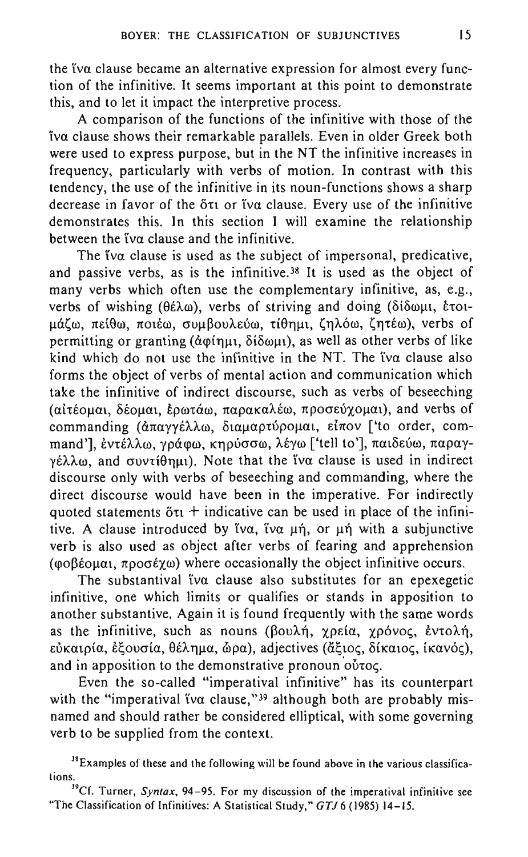the Iva clause became an alternative expression for almost every function of the infinitive. It seems important at this point to demonstrate this, and to let it impact the interpretive process.

A comparison of the functions of the infinitive with those of the  $\alpha$  clause shows their remarkable parallels. Even in older Greek both were used to express purpose, but in the NT the infinitive increases in frequency, particularly with verbs of motion. In contrast with this tendency, the use of the infinitive in its noun-functions shows a sharp decrease in favor of the ott or iva clause. Every use of the infinitive demonstrates this. In this section I will examine the relationship between the Iva clause and the infinitive.

The  $\alpha$  clause is used as the subject of impersonal, predicative, and passive verbs, as is the infinitive.<sup>38</sup> It is used as the object of many verbs which often use the complementary infinitive, as, e.g., verbs of wishing ( $\theta \in \lambda \omega$ ), verbs of striving and doing ( $\delta i \delta \omega \mu$ ,  $\epsilon \tau o$ iμάζω, πείθω, ποιέω, συμβουλεύω, τίθημι, ζηλόω, ζητέω), verbs of permitting or granting ( $d\phi(\eta\mu)$ ,  $\delta(\delta\omega\mu)$ ), as well as other verbs of like kind which do not use the infinitive in the NT. The  $\alpha$  clause also forms the object of verbs of mental action and communication which take the infinitive of indirect discourse, such as verbs of beseeching  $(a$ <sub>1</sub> τέομαι, δέομαι, ερωτάω, παρακαλέω, προσεύγομαι), and verbs of commanding (άπαγγέλλω, διαμαρτύρομαι, είπον ['to order, command'], έντέλλω, γράφω, κηρύσσω, λέγω ['tell to'], παιδεύω, παραγγέλλω, and συντίθημι). Note that the Iva clause is used in indirect discourse only with verbs of beseeching and commanding, where the direct discourse would have been in the imperative. For indirectly quoted statements  $\ddot{\sigma}t_1$  + indicative can be used in place of the infinitive. A clause introduced by Iva, Iva  $\mu$ n, or  $\mu$ n with a subjunctive verb is also used as object after verbs of fearing and apprehension  $($  $\phi$  $\sigma$  $\beta$  $\epsilon$  $\sigma$  $\alpha$  $\alpha$ ,  $\pi$  $\rho$  $\sigma$  $\epsilon$  $\gamma$  $\omega$ ) where occasionally the object infinitive occurs.

The substantival  $\alpha$  clause also substitutes for an epexegetic infinitive, one which limits or qualifies or stands in apposition to another substantive. Again it is found frequently with the same words as the infinitive, such as nouns (βουλή, χρεία, χρόνος, έντολή, εύκαιρία, έξουσία, θέλημα, ώρα), adjectives (άξιος, δίκαιος, ίκανός), and in apposition to the demonstrative pronoun  $o\bar{b}$  toc.

Even the so-called "imperatival infinitive" has its counterpart with the "imperatival tva clause,"<sup>39</sup> although both are probably misnamed and should rather be considered elliptical, with some governing verb to be supplied from the context.

 $38$  Examples of these and the following will be found above in the various classifica**tions.** 

**<sup>39</sup>Cf. Turner,** *Syntax,* **94-95. For my discussion of the imperativai infinitive see**  "The Classification of Infinitives: A Statistical Study," GTJ 6 (1985) 14-15.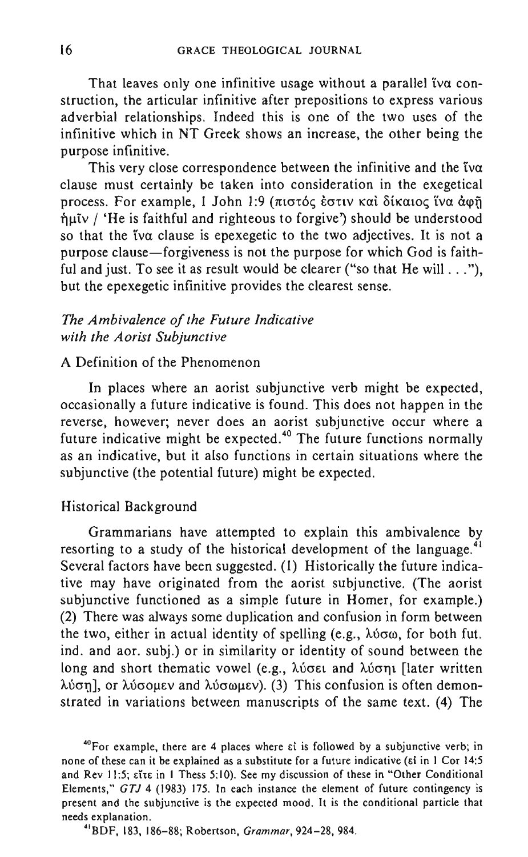That leaves only one infinitive usage without a parallel tva construction, the articular infinitive after prepositions to express various adverbial relationships. Indeed this is one of the two uses of the infinitive which in NT Greek shows an increase, the other being the purpose infinitive.

This very close correspondence between the infinitive and the  $\tilde{v}$  va clause must certainly be taken into consideration in the exegetical process. For example, 1 John 1:9 (πιστός έστιν και δίκαιος ΐνα άφῆ  $\hat{\eta}$ ulv / 'He is faithful and righteous to forgive') should be understood so that the tva clause is epexegetic to the two adjectives. It is not a purpose clause-forgiveness is not the purpose for which God is faithful and just. To see it as result would be clearer ("so that He will ... "), but the epexegetic infinitive provides the clearest sense.

# *The Ambivalence of the Future Indicative with the Aorist Subjunctive*

# A Definition of the Phenomenon

In places where an aorist subjunctive verb might be expected, occasionally a future indicative is found. This does not happen in the reverse, however; never does an aorist subjunctive occur where a future indicative might be expected.<sup>40</sup> The future functions normally as an indicative, but it also functions in certain situations where the subjunctive (the potential future) might be expected.

### Historical Background

Grammarians have attempted to explain this ambivalence by resorting to a study of the historical development of the language.<sup>41</sup> Several factors have been suggested. (1) Historically the future indicative may have originated from the aorist sUbjunctive. (The aorist subjunctive functioned as a simple future in Homer, for example.) (2) There was always some duplication and confusion in form between the two, either in actual identity of spelling (e.g.,  $\lambda\acute{o}$  ow, for both fut. ind. and aor. subj.) or in similarity or identity of sound between the long and short thematic vowel (e.g., λύσει and λύσηι [later written  $\lambda$ ύση], or  $\lambda$ ύσομεν and  $\lambda$ ύσωμεν). (3) This confusion is often demonstrated in variations between manuscripts of the same text. (4) The

<sup>40</sup> For example, there are 4 places where  $\varepsilon$  is followed by a subjunctive verb; in **none** of these **can it be explained as a substitute for a future indicative (d in I Cor 14:5**  and Rev 11:5; είτε in 1 Thess 5:10). See my discussion of these in "Other Conditional Elements." GTJ 4 (1983) 175. In each instance the element of future contingency is **present and the subjunctive is the expected mood. It is the conditional particle that needs explanation.** 

41BDF, 183, 186-88; Robertson, *Grammar,* 924-28, 984.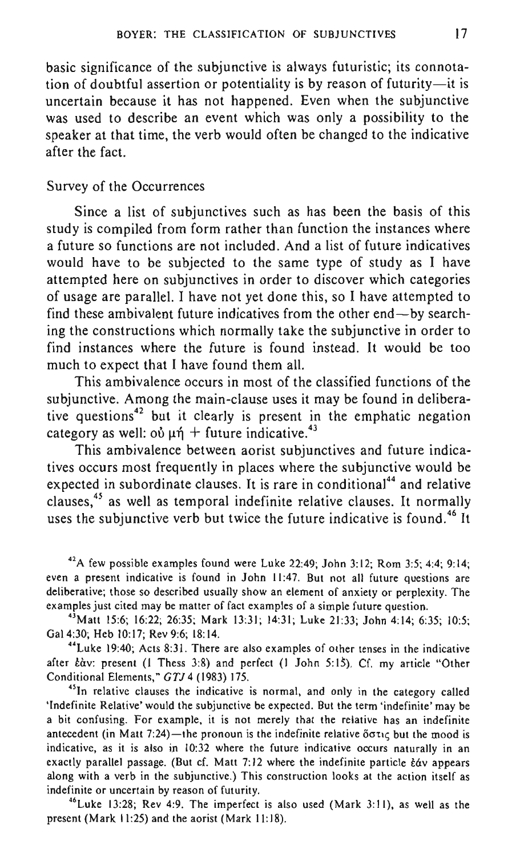basic significance of the subjunctive is always futuristic; its connotation of doubtful assertion or potentiality is by reason of futurity-it is uncertain because it has not happened. Even when the subjunctive was used to describe an event which was only a possibility to the speaker at that time, the verb would often be changed to the indicative after the fact.

## Survey of the Occurrences

Since a list of subjunctives such as has been the basis of this study is compiled from form rather than function the instances where a future so functions are not included. And a list of future indicatives would have to be subjected to the same type of study as I have attempted here on subjunctives in order to discover which categories of usage are parallel. I have not yet done this, so I have attempted to find these ambivalent future indicatives from the other end-by searching the constructions which normally take the subjunctive in order to find instances where the future is found instead. It would be too much to expect that I have found them all.

This ambivalence occurs in most of the classified functions of the subjunctive. Among the main-clause uses it may be found in deliberative questions<sup>42</sup> but it clearly is present in the emphatic negation category as well:  $\omega \psi + f$ uture indicative.<sup>43</sup>

This ambivalence between aorist subjunctives and future indicatives occurs most frequently in places where the SUbjunctive would be expected in subordinate clauses. It is rare in conditional<sup>44</sup> and relative clauses,45 as well as temporal indefinite relative clauses. It normally uses the subjunctive verb but twice the future indicative is found.<sup>46</sup> It

42A few possible examples found were Luke 22:49; John 3:12; Rom 3:5; 4:4; 9:14; even a present indicative is found in John 11:47. But not all future questions are deliberative; those so described usually show an element of anxiety or perplexity. The examples just cited may be matter of fact examples of a simple future question.

"Matt 15:6; 16:22; 26:35; Mark 13:31; 14:31; Luke 21:33; John 4:14; 6:35; 10:5; Gal 4:30; Heb 10:17; Rev 9:6; 18:14.

**44Luke 19:40; Acts 8:31. There are also examples of other tenses in the indicative**  after  $\frac{1}{2}$  bresent (1 Thess 3:8) and perfect (1 John 5:15). Cf. my article "Other Conditional Elements," *GTJ* 4 (1983) 175.

**451n relative clauses the indicative is normal, and only in the category called 'Indefinite Relative' would the subjunctive be expected. But the term 'indefinite' may be a bit confusing. For example, it is not merely that the relative has an indefinite**  antecedent (in Matt 7:24)-the pronoun is the indefinite relative  $\delta \sigma \tau$  but the mood is **indicative, as it is also in 10:32 where the future indicative occurs naturally in an**  exactly parallel passage. (But cf. Matt 7:12 where the indefinite particle *Edv* appears **along with a verb in the subjunctive.) This construction looks at the action itself as indefinite or uncertain by reason of futurity.** 

 $46$  Luke 13:28; Rev 4:9. The imperfect is also used (Mark 3:11), as well as the present (Mark 11:25) and the aorist (Mark 11:18).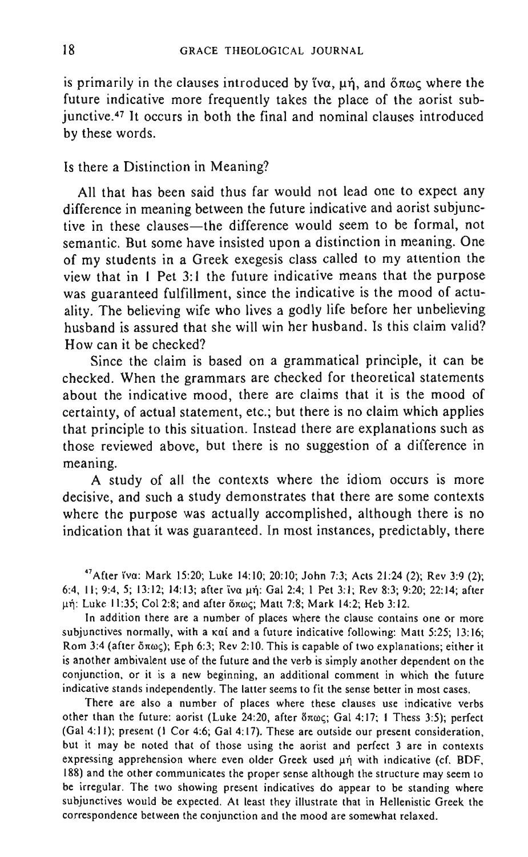is primarily in the clauses introduced by  $\alpha$ ,  $\mu$ , and  $\delta \pi \omega c$  where the future indicative more frequently takes the place of the aorist subjunctive.47 It occurs in both the final and nominal clauses introduced by these words.

#### Is there a Distinction in Meaning?

All that has been said thus far would not lead one to expect any difference in meaning between the future indicative and aorist subjunctive in these clauses—the difference would seem to be formal, not semantic. But some have insisted upon a distinction in meaning. One of my students in a Greek exegesis class called to my attention the view that in 1 Pet 3:1 the future indicative means that the purpose was guaranteed fulfillment, since the indicative is the mood of actuality. The believing wife who lives a godly life before her unbelieving husband is assured that she will win her husband. Is this claim valid? How can it be checked?

Since the claim is based on a grammatical principle, it can be checked. When the grammars are checked for theoretical statements about the indicative mood, there are claims that it is the mood of certainty, of actual statement, etc.; but there is no claim which applies that principle to this situation. Instead there are explanations such as those reviewed above, but there is no suggestion of a difference in meaning.

A study of all the contexts where the idiom occurs is more decisive, and such a study demonstrates that there are some contexts where the purpose was actually accomplished, although there is no indication that it was guaranteed. **In** most instances, predictably, there

" After Iva: Mark 15:20; Luke 14:10; 20:10; John 7:3; Acts 21:24 (2); Rev 3:9 (2); 6:4, II; 9:4.5; 13:12; 14:13; after Lva *1''':* Gal 2:4; I Pet 3:1; Rev 8:3; 9:20; 22:14; after μή: Luke 11:35; Col 2:8; and after όπως; Matt 7:8; Mark 14:2; Heb 3:12.

**In addition there are a number of places where the clause contains one or more**  subjunctives normally, with a  $k\alpha i$  and a future indicative following: Matt 5:25; 13:16; Rom 3:4 (after δπως); Eph 6:3; Rev 2:10. This is capable of two explanations; either it **is another ambivalent use of the future and the verb is simply another dependent on the conjunction, or it is a new beginning, an additional comment in which the future indicative stands independently. The latter seems to fit the sense better in most cases.** 

**There are also a number of places where these clauses use indicative verbs**  other than the future: aorist (Luke 24:20, after δπως; Gal 4:17; 1 Thess 3:5); perfect (Gal 4:11); present (I Cor 4:6; Gal 4:17). These are outside our present consideration, **but it may be noted that of those using the aorist and perfect 3 are in contexts**  expressing apprehension where even older Greek used  $\mu$ n with indicative (cf. BDF, **188) and the other communicates the proper sense although the structure may seem to be irregular. The two showing present indicatives do appear to be standing where**  subjunctives would be expected. At least they illustrate that in Hellenistic Greek the **correspondence between the conjunction and the mood are somewhat relaxed.**